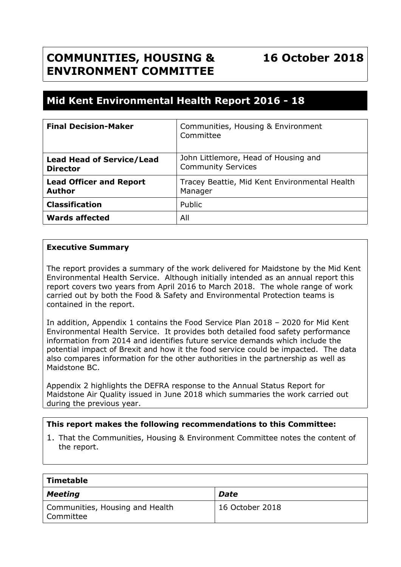# **COMMUNITIES, HOUSING & ENVIRONMENT COMMITTEE**

# **16 October 2018**

# **Mid Kent Environmental Health Report 2016 - 18**

| <b>Final Decision-Maker</b>                         | Communities, Housing & Environment<br>Committee                   |
|-----------------------------------------------------|-------------------------------------------------------------------|
| <b>Lead Head of Service/Lead</b><br><b>Director</b> | John Littlemore, Head of Housing and<br><b>Community Services</b> |
| <b>Lead Officer and Report</b><br><b>Author</b>     | Tracey Beattie, Mid Kent Environmental Health<br>Manager          |
| <b>Classification</b>                               | Public                                                            |
| <b>Wards affected</b>                               | All                                                               |

## **Executive Summary**

The report provides a summary of the work delivered for Maidstone by the Mid Kent Environmental Health Service. Although initially intended as an annual report this report covers two years from April 2016 to March 2018. The whole range of work carried out by both the Food & Safety and Environmental Protection teams is contained in the report.

In addition, Appendix 1 contains the Food Service Plan 2018 – 2020 for Mid Kent Environmental Health Service. It provides both detailed food safety performance information from 2014 and identifies future service demands which include the potential impact of Brexit and how it the food service could be impacted. The data also compares information for the other authorities in the partnership as well as Maidstone BC.

Appendix 2 highlights the DEFRA response to the Annual Status Report for Maidstone Air Quality issued in June 2018 which summaries the work carried out during the previous year.

## **This report makes the following recommendations to this Committee:**

1. That the Communities, Housing & Environment Committee notes the content of the report.

| ' Timetable                                               |                 |  |  |
|-----------------------------------------------------------|-----------------|--|--|
| <b>Meeting</b>                                            | <b>Date</b>     |  |  |
| Communities, Housing and Health<br><sup>l</sup> Committee | 16 October 2018 |  |  |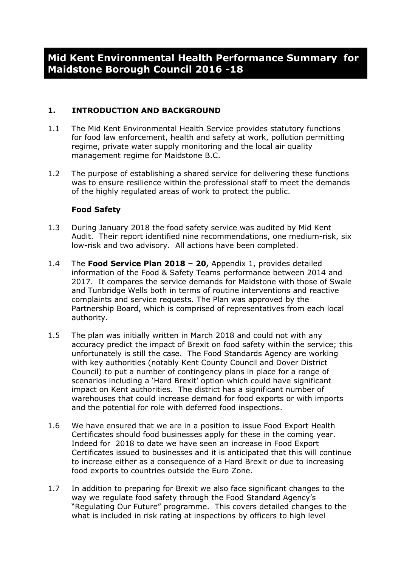# **1. INTRODUCTION AND BACKGROUND**

- 1.1 The Mid Kent Environmental Health Service provides statutory functions for food law enforcement, health and safety at work, pollution permitting regime, private water supply monitoring and the local air quality management regime for Maidstone B.C.
- 1.2 The purpose of establishing a shared service for delivering these functions was to ensure resilience within the professional staff to meet the demands of the highly regulated areas of work to protect the public.

## **Food Safety**

- 1.3 During January 2018 the food safety service was audited by Mid Kent Audit. Their report identified nine recommendations, one medium-risk, six low-risk and two advisory. All actions have been completed.
- 1.4 The **Food Service Plan 2018 – 20,** Appendix 1, provides detailed information of the Food & Safety Teams performance between 2014 and 2017. It compares the service demands for Maidstone with those of Swale and Tunbridge Wells both in terms of routine interventions and reactive complaints and service requests. The Plan was approved by the Partnership Board, which is comprised of representatives from each local authority.
- 1.5 The plan was initially written in March 2018 and could not with any accuracy predict the impact of Brexit on food safety within the service; this unfortunately is still the case. The Food Standards Agency are working with key authorities (notably Kent County Council and Dover District Council) to put a number of contingency plans in place for a range of scenarios including a 'Hard Brexit' option which could have significant impact on Kent authorities. The district has a significant number of warehouses that could increase demand for food exports or with imports and the potential for role with deferred food inspections.
- 1.6 We have ensured that we are in a position to issue Food Export Health Certificates should food businesses apply for these in the coming year. Indeed for 2018 to date we have seen an increase in Food Export Certificates issued to businesses and it is anticipated that this will continue to increase either as a consequence of a Hard Brexit or due to increasing food exports to countries outside the Euro Zone.
- 1.7 In addition to preparing for Brexit we also face significant changes to the way we regulate food safety through the Food Standard Agency's "Regulating Our Future" programme. This covers detailed changes to the what is included in risk rating at inspections by officers to high level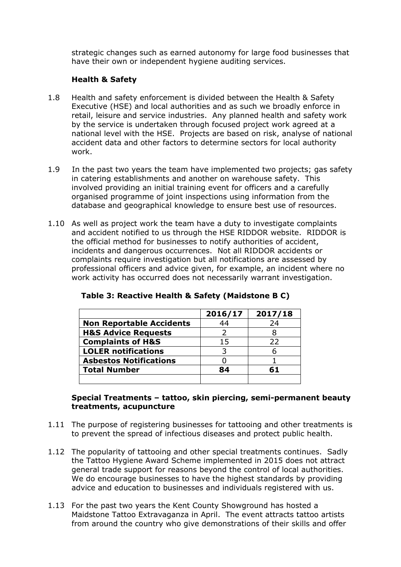strategic changes such as earned autonomy for large food businesses that have their own or independent hygiene auditing services.

# **Health & Safety**

- 1.8 Health and safety enforcement is divided between the Health & Safety Executive (HSE) and local authorities and as such we broadly enforce in retail, leisure and service industries. Any planned health and safety work by the service is undertaken through focused project work agreed at a national level with the HSE. Projects are based on risk, analyse of national accident data and other factors to determine sectors for local authority work.
- 1.9 In the past two years the team have implemented two projects; gas safety in catering establishments and another on warehouse safety. This involved providing an initial training event for officers and a carefully organised programme of joint inspections using information from the database and geographical knowledge to ensure best use of resources.
- 1.10 As well as project work the team have a duty to investigate complaints and accident notified to us through the HSE RIDDOR website. RIDDOR is the official method for businesses to notify authorities of accident, incidents and dangerous occurrences. Not all RIDDOR accidents or complaints require investigation but all notifications are assessed by professional officers and advice given, for example, an incident where no work activity has occurred does not necessarily warrant investigation.

|                                 | 2016/17 | 2017/18 |
|---------------------------------|---------|---------|
| <b>Non Reportable Accidents</b> | 44      | 24      |
| <b>H&amp;S Advice Requests</b>  |         |         |
| <b>Complaints of H&amp;S</b>    | 15      | 22      |
| <b>LOLER notifications</b>      | 3       |         |
| <b>Asbestos Notifications</b>   |         |         |
| <b>Total Number</b>             | 84      | 61      |
|                                 |         |         |

| Table 3: Reactive Health & Safety (Maidstone B C) |  |  |  |
|---------------------------------------------------|--|--|--|
|---------------------------------------------------|--|--|--|

#### **Special Treatments – tattoo, skin piercing, semi-permanent beauty treatments, acupuncture**

- 1.11 The purpose of registering businesses for tattooing and other treatments is to prevent the spread of infectious diseases and protect public health.
- 1.12 The popularity of tattooing and other special treatments continues. Sadly the Tattoo Hygiene Award Scheme implemented in 2015 does not attract general trade support for reasons beyond the control of local authorities. We do encourage businesses to have the highest standards by providing advice and education to businesses and individuals registered with us.
- 1.13 For the past two years the Kent County Showground has hosted a Maidstone Tattoo Extravaganza in April. The event attracts tattoo artists from around the country who give demonstrations of their skills and offer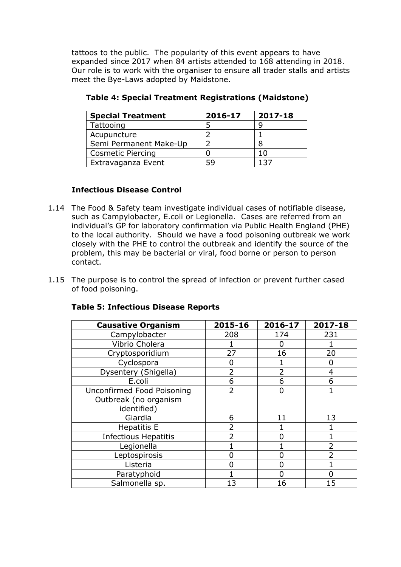tattoos to the public. The popularity of this event appears to have expanded since 2017 when 84 artists attended to 168 attending in 2018. Our role is to work with the organiser to ensure all trader stalls and artists meet the Bye-Laws adopted by Maidstone.

| <b>Special Treatment</b> | 2016-17 | 2017-18 |
|--------------------------|---------|---------|
| Tattooing                |         |         |
| Acupuncture              |         |         |
| Semi Permanent Make-Up   |         |         |
| <b>Cosmetic Piercing</b> |         | 1 ()    |
| Extravaganza Event       | 59      |         |

**Table 4: Special Treatment Registrations (Maidstone)**

# **Infectious Disease Control**

- 1.14 The Food & Safety team investigate individual cases of notifiable disease, such as Campylobacter, E.coli or Legionella. Cases are referred from an individual's GP for laboratory confirmation via Public Health England (PHE) to the local authority. Should we have a food poisoning outbreak we work closely with the PHE to control the outbreak and identify the source of the problem, this may be bacterial or viral, food borne or person to person contact.
- 1.15 The purpose is to control the spread of infection or prevent further cased of food poisoning.

| <b>Causative Organism</b>   | 2015-16        | 2016-17      | 2017-18        |
|-----------------------------|----------------|--------------|----------------|
| Campylobacter               | 208            | 174          | 231            |
| Vibrio Cholera              |                | $\mathbf{0}$ |                |
| Cryptosporidium             | 27             | 16           | 20             |
| Cyclospora                  | O              |              | ŋ              |
| Dysentery (Shigella)        | $\overline{2}$ |              | 4              |
| E.coli                      | 6              | 6            | 6              |
| Unconfirmed Food Poisoning  | $\overline{2}$ | O            |                |
| Outbreak (no organism       |                |              |                |
| identified)                 |                |              |                |
| Giardia                     | 6              | 11           | 13             |
| <b>Hepatitis E</b>          | 2              |              |                |
| <b>Infectious Hepatitis</b> | 2              |              |                |
| Legionella                  |                |              | $\overline{2}$ |
| Leptospirosis               | N              | U            | $\overline{2}$ |
| Listeria                    |                | O            |                |
| Paratyphoid                 |                |              |                |
| Salmonella sp.              | 13             | 16           | 15             |

## **Table 5: Infectious Disease Reports**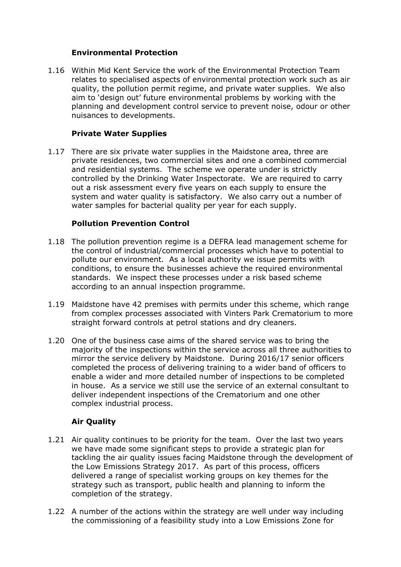## **Environmental Protection**

1.16 Within Mid Kent Service the work of the Environmental Protection Team relates to specialised aspects of environmental protection work such as air quality, the pollution permit regime, and private water supplies. We also aim to 'design out' future environmental problems by working with the planning and development control service to prevent noise, odour or other nuisances to developments.

## **Private Water Supplies**

1.17 There are six private water supplies in the Maidstone area, three are private residences, two commercial sites and one a combined commercial and residential systems. The scheme we operate under is strictly controlled by the Drinking Water Inspectorate. We are required to carry out a risk assessment every five years on each supply to ensure the system and water quality is satisfactory. We also carry out a number of water samples for bacterial quality per year for each supply.

#### **Pollution Prevention Control**

- 1.18 The pollution prevention regime is a DEFRA lead management scheme for the control of industrial/commercial processes which have to potential to pollute our environment. As a local authority we issue permits with conditions, to ensure the businesses achieve the required environmental standards. We inspect these processes under a risk based scheme according to an annual inspection programme.
- 1.19 Maidstone have 42 premises with permits under this scheme, which range from complex processes associated with Vinters Park Crematorium to more straight forward controls at petrol stations and dry cleaners.
- 1.20 One of the business case aims of the shared service was to bring the majority of the inspections within the service across all three authorities to mirror the service delivery by Maidstone. During 2016/17 senior officers completed the process of delivering training to a wider band of officers to enable a wider and more detailed number of inspections to be completed in house. As a service we still use the service of an external consultant to deliver independent inspections of the Crematorium and one other complex industrial process.

# **Air Quality**

- 1.21 Air quality continues to be priority for the team. Over the last two years we have made some significant steps to provide a strategic plan for tackling the air quality issues facing Maidstone through the development of the Low Emissions Strategy 2017. As part of this process, officers delivered a range of specialist working groups on key themes for the strategy such as transport, public health and planning to inform the completion of the strategy.
- 1.22 A number of the actions within the strategy are well under way including the commissioning of a feasibility study into a Low Emissions Zone for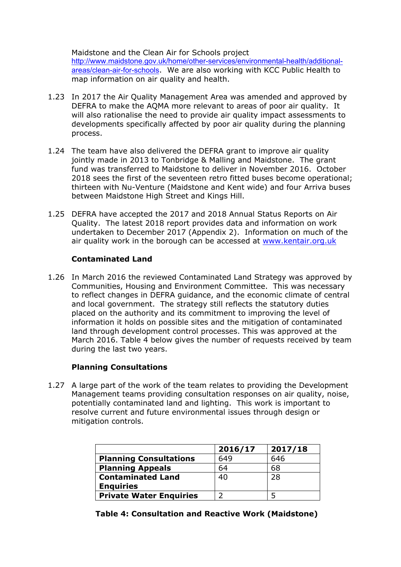Maidstone and the Clean Air for Schools project [http://www.maidstone.gov.uk/home/other-services/environmental-health/additional](http://www.maidstone.gov.uk/home/other-services/environmental-health/additional-areas/clean-air-for-schools)[areas/clean-air-for-schools](http://www.maidstone.gov.uk/home/other-services/environmental-health/additional-areas/clean-air-for-schools). We are also working with KCC Public Health to map information on air quality and health.

- 1.23 In 2017 the Air Quality Management Area was amended and approved by DEFRA to make the AQMA more relevant to areas of poor air quality. It will also rationalise the need to provide air quality impact assessments to developments specifically affected by poor air quality during the planning process.
- 1.24 The team have also delivered the DEFRA grant to improve air quality jointly made in 2013 to Tonbridge & Malling and Maidstone. The grant fund was transferred to Maidstone to deliver in November 2016. October 2018 sees the first of the seventeen retro fitted buses become operational; thirteen with Nu-Venture (Maidstone and Kent wide) and four Arriva buses between Maidstone High Street and Kings Hill.
- 1.25 DEFRA have accepted the 2017 and 2018 Annual Status Reports on Air Quality. The latest 2018 report provides data and information on work undertaken to December 2017 (Appendix 2). Information on much of the air quality work in the borough can be accessed at [www.kentair.org.uk](http://www.kentair.org.uk/)

# **Contaminated Land**

1.26 In March 2016 the reviewed Contaminated Land Strategy was approved by Communities, Housing and Environment Committee. This was necessary to reflect changes in DEFRA guidance, and the economic climate of central and local government. The strategy still reflects the statutory duties placed on the authority and its commitment to improving the level of information it holds on possible sites and the mitigation of contaminated land through development control processes. This was approved at the March 2016. Table 4 below gives the number of requests received by team during the last two years.

## **Planning Consultations**

1.27 A large part of the work of the team relates to providing the Development Management teams providing consultation responses on air quality, noise, potentially contaminated land and lighting. This work is important to resolve current and future environmental issues through design or mitigation controls.

|                                | 2016/17 | 2017/18 |
|--------------------------------|---------|---------|
| <b>Planning Consultations</b>  | 649     | 646     |
| <b>Planning Appeals</b>        | 64      | 68      |
| <b>Contaminated Land</b>       | 40      | 28      |
| <b>Enquiries</b>               |         |         |
| <b>Private Water Enquiries</b> |         |         |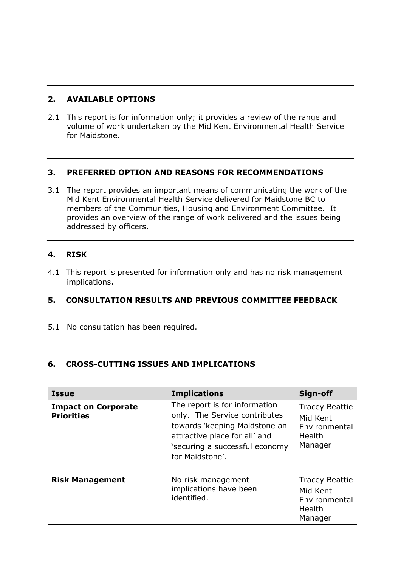# **2. AVAILABLE OPTIONS**

2.1 This report is for information only; it provides a review of the range and volume of work undertaken by the Mid Kent Environmental Health Service for Maidstone.

# **3. PREFERRED OPTION AND REASONS FOR RECOMMENDATIONS**

3.1 The report provides an important means of communicating the work of the Mid Kent Environmental Health Service delivered for Maidstone BC to members of the Communities, Housing and Environment Committee. It provides an overview of the range of work delivered and the issues being addressed by officers.

# **4. RISK**

4.1 This report is presented for information only and has no risk management implications.

# **5. CONSULTATION RESULTS AND PREVIOUS COMMITTEE FEEDBACK**

5.1 No consultation has been required.

## **6. CROSS-CUTTING ISSUES AND IMPLICATIONS**

| <b>Issue</b>                                    | <b>Implications</b>                                                                                                                                                                   | Sign-off                                                                |
|-------------------------------------------------|---------------------------------------------------------------------------------------------------------------------------------------------------------------------------------------|-------------------------------------------------------------------------|
| <b>Impact on Corporate</b><br><b>Priorities</b> | The report is for information<br>only. The Service contributes<br>towards 'keeping Maidstone an<br>attractive place for all' and<br>'securing a successful economy<br>for Maidstone'. | <b>Tracey Beattie</b><br>Mid Kent<br>Environmental<br>Health<br>Manager |
| <b>Risk Management</b>                          | No risk management<br>implications have been<br>identified.                                                                                                                           | <b>Tracey Beattie</b><br>Mid Kent<br>Environmental<br>Health<br>Manager |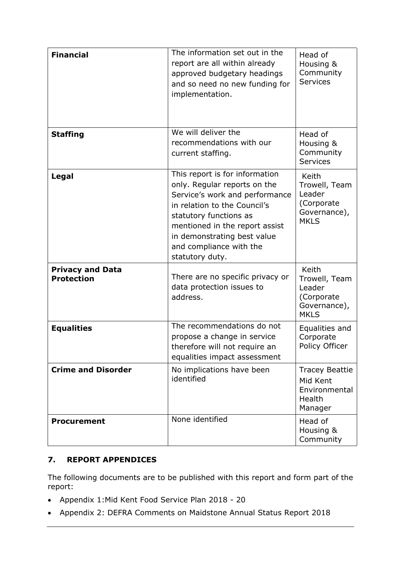| <b>Financial</b>                             | The information set out in the<br>report are all within already<br>approved budgetary headings<br>and so need no new funding for<br>implementation.                                                                                                                       | Head of<br>Housing &<br>Community<br><b>Services</b>                                 |
|----------------------------------------------|---------------------------------------------------------------------------------------------------------------------------------------------------------------------------------------------------------------------------------------------------------------------------|--------------------------------------------------------------------------------------|
| <b>Staffing</b>                              | We will deliver the<br>recommendations with our<br>current staffing.                                                                                                                                                                                                      | Head of<br>Housing &<br>Community<br><b>Services</b>                                 |
| Legal                                        | This report is for information<br>only. Regular reports on the<br>Service's work and performance<br>in relation to the Council's<br>statutory functions as<br>mentioned in the report assist<br>in demonstrating best value<br>and compliance with the<br>statutory duty. | Keith<br>Trowell, Team<br>Leader<br>(Corporate<br>Governance),<br><b>MKLS</b>        |
| <b>Privacy and Data</b><br><b>Protection</b> | There are no specific privacy or<br>data protection issues to<br>address.                                                                                                                                                                                                 | <b>Keith</b><br>Trowell, Team<br>Leader<br>(Corporate<br>Governance),<br><b>MKLS</b> |
| <b>Equalities</b>                            | The recommendations do not<br>propose a change in service<br>therefore will not require an<br>equalities impact assessment                                                                                                                                                | Equalities and<br>Corporate<br>Policy Officer                                        |
| <b>Crime and Disorder</b>                    | No implications have been<br>identified                                                                                                                                                                                                                                   | <b>Tracey Beattie</b><br>Mid Kent<br>Environmental<br>Health<br>Manager              |
| <b>Procurement</b>                           | None identified                                                                                                                                                                                                                                                           | Head of<br>Housing &<br>Community                                                    |

# **7. REPORT APPENDICES**

The following documents are to be published with this report and form part of the report:

- Appendix 1:Mid Kent Food Service Plan 2018 20
- Appendix 2: DEFRA Comments on Maidstone Annual Status Report 2018